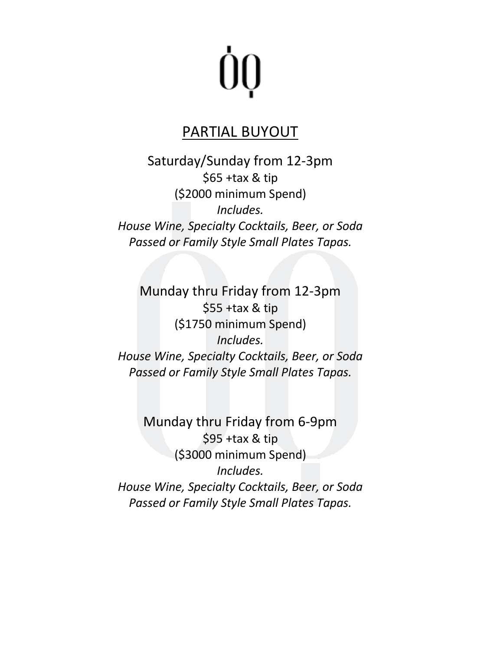## ÒQ

#### PARTIAL BUYOUT

Saturday/Sunday from 12-3pm \$65 +tax & tip (\$2000 minimum Spend) *Includes. House Wine, Specialty Cocktails, Beer, or Soda Passed or Family Style Small Plates Tapas.* 

Munday thru Friday from 12-3pm \$55 +tax & tip (\$1750 minimum Spend) *Includes. House Wine, Specialty Cocktails, Beer, or Soda Passed or Family Style Small Plates Tapas.* 

Munday thru Friday from 6-9pm \$95 +tax & tip (\$3000 minimum Spend) *Includes. House Wine, Specialty Cocktails, Beer, or Soda Passed or Family Style Small Plates Tapas.*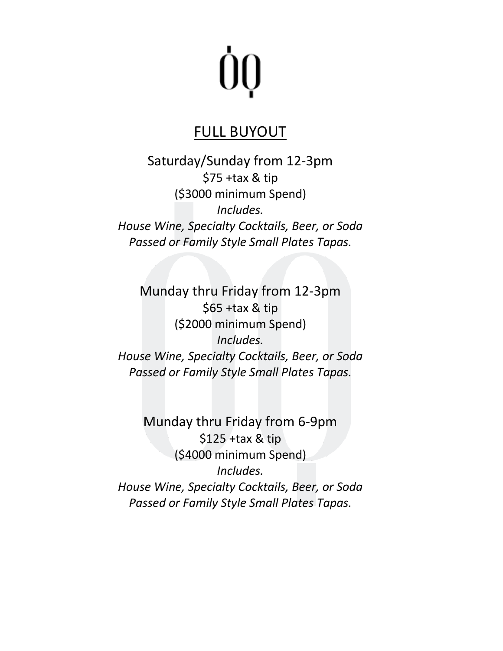## ÒQ

### FULL BUYOUT

Saturday/Sunday from 12-3pm \$75 +tax & tip (\$3000 minimum Spend) *Includes. House Wine, Specialty Cocktails, Beer, or Soda Passed or Family Style Small Plates Tapas.* 

Munday thru Friday from 12-3pm \$65 +tax & tip (\$2000 minimum Spend) *Includes. House Wine, Specialty Cocktails, Beer, or Soda Passed or Family Style Small Plates Tapas.* 

Munday thru Friday from 6-9pm \$125 +tax & tip (\$4000 minimum Spend) *Includes. House Wine, Specialty Cocktails, Beer, or Soda Passed or Family Style Small Plates Tapas.*